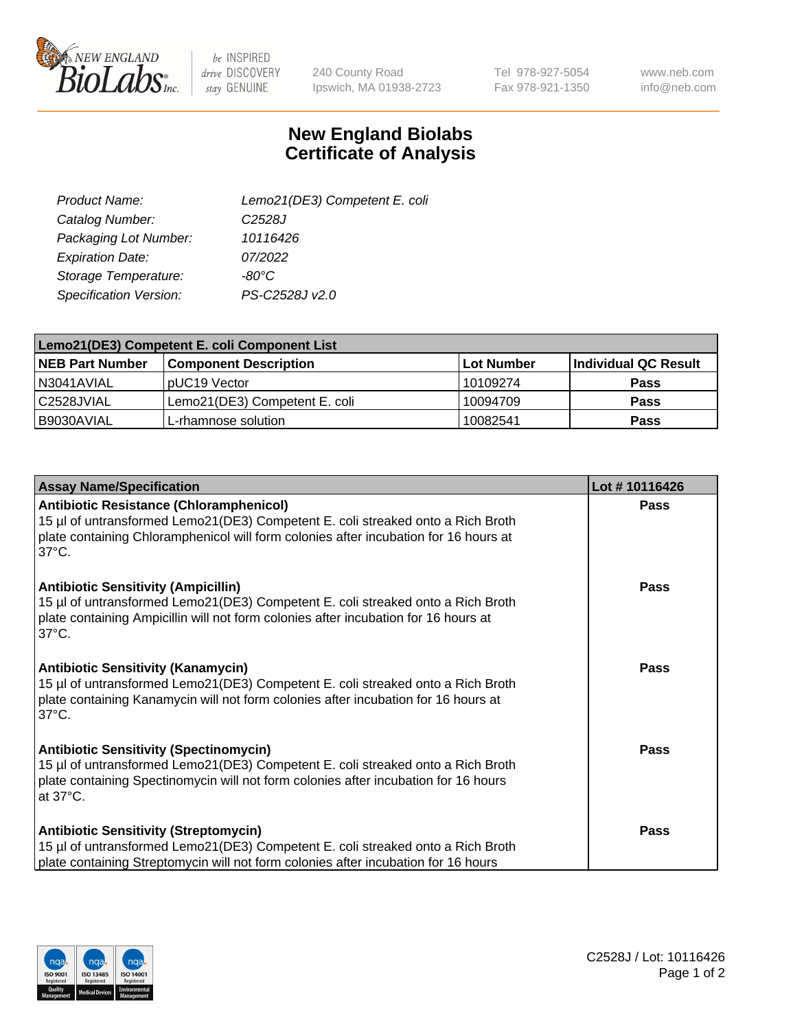

 $be$  INSPIRED drive DISCOVERY stay GENUINE

240 County Road Ipswich, MA 01938-2723 Tel 978-927-5054 Fax 978-921-1350

www.neb.com info@neb.com

## **New England Biolabs Certificate of Analysis**

| Lemo21(DE3) Competent E. coli |
|-------------------------------|
| C <sub>2528</sub> J           |
| 10116426                      |
| 07/2022                       |
| $-80^{\circ}$ C               |
| PS-C2528J v2.0                |
|                               |

| Lemo21(DE3) Competent E. coli Component List |                               |                   |                      |  |
|----------------------------------------------|-------------------------------|-------------------|----------------------|--|
| <b>NEB Part Number</b>                       | <b>Component Description</b>  | <b>Lot Number</b> | Individual QC Result |  |
| I N3041AVIAL                                 | IpUC19 Vector                 | 10109274          | Pass                 |  |
| C2528JVIAL                                   | Lemo21(DE3) Competent E. coli | 10094709          | <b>Pass</b>          |  |
| B9030AVIAL                                   | L-rhamnose solution           | 10082541          | <b>Pass</b>          |  |

| <b>Assay Name/Specification</b>                                                                                                                                                                                                              | Lot #10116426 |
|----------------------------------------------------------------------------------------------------------------------------------------------------------------------------------------------------------------------------------------------|---------------|
| <b>Antibiotic Resistance (Chloramphenicol)</b><br>15 µl of untransformed Lemo21(DE3) Competent E. coli streaked onto a Rich Broth<br>plate containing Chloramphenicol will form colonies after incubation for 16 hours at<br>$37^{\circ}$ C. | <b>Pass</b>   |
| <b>Antibiotic Sensitivity (Ampicillin)</b><br>15 µl of untransformed Lemo21(DE3) Competent E. coli streaked onto a Rich Broth<br>plate containing Ampicillin will not form colonies after incubation for 16 hours at<br>$37^{\circ}$ C.      | Pass          |
| <b>Antibiotic Sensitivity (Kanamycin)</b><br>15 µl of untransformed Lemo21(DE3) Competent E. coli streaked onto a Rich Broth<br>plate containing Kanamycin will not form colonies after incubation for 16 hours at<br>$37^{\circ}$ C.        | Pass          |
| <b>Antibiotic Sensitivity (Spectinomycin)</b><br>15 µl of untransformed Lemo21(DE3) Competent E. coli streaked onto a Rich Broth<br>plate containing Spectinomycin will not form colonies after incubation for 16 hours<br>at 37°C.          | Pass          |
| <b>Antibiotic Sensitivity (Streptomycin)</b><br>15 µl of untransformed Lemo21(DE3) Competent E. coli streaked onto a Rich Broth<br>plate containing Streptomycin will not form colonies after incubation for 16 hours                        | <b>Pass</b>   |